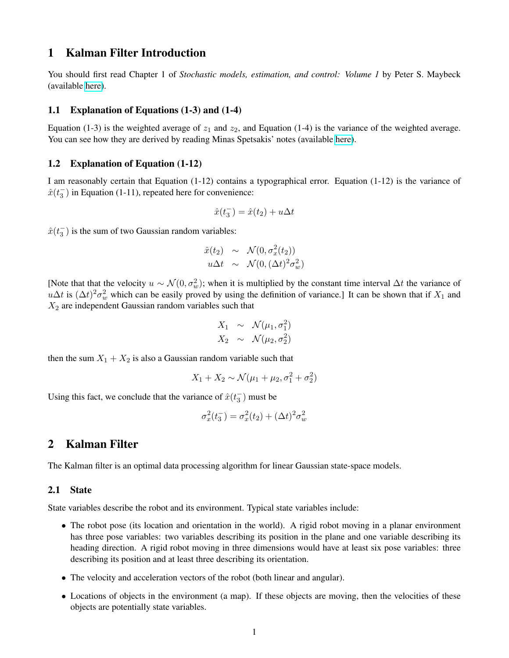# 1 Kalman Filter Introduction

You should first read Chapter 1 of *Stochastic models, estimation, and control: Volume 1* by Peter S. Maybeck (available [here\)](http://www.cs.unc.edu/~welch/media/pdf/maybeck_ch1.pdf).

### 1.1 Explanation of Equations (1-3) and (1-4)

Equation (1-3) is the weighted average of  $z_1$  and  $z_2$ , and Equation (1-4) is the variance of the weighted average. You can see how they are derived by reading Minas Spetsakis' notes (available [here\)](http://www.cse.yorku.ca/course_archive/2007-08/W/4421/stats.pdf).

# 1.2 Explanation of Equation (1-12)

I am reasonably certain that Equation (1-12) contains a typographical error. Equation (1-12) is the variance of  $\hat{x}(t_3^-)$  in Equation (1-11), repeated here for convenience:

$$
\hat{x}(t_3^-) = \hat{x}(t_2) + u\Delta t
$$

 $\hat{x}(t_3^-)$  is the sum of two Gaussian random variables:

$$
\hat{x}(t_2) \sim \mathcal{N}(0, \sigma_x^2(t_2))
$$
  

$$
u\Delta t \sim \mathcal{N}(0, (\Delta t)^2 \sigma_w^2)
$$

[Note that that the velocity  $u \sim \mathcal{N}(0, \sigma_w^2)$ ; when it is multiplied by the constant time interval  $\Delta t$  the variance of  $u\Delta t$  is  $(\Delta t)^2 \sigma_w^2$  which can be easily proved by using the definition of variance.] It can be shown that if  $X_1$  and  $X_2$  are independent Gaussian random variables such that

$$
X_1 \sim \mathcal{N}(\mu_1, \sigma_1^2)
$$
  

$$
X_2 \sim \mathcal{N}(\mu_2, \sigma_2^2)
$$

then the sum  $X_1 + X_2$  is also a Gaussian random variable such that

$$
X_1 + X_2 \sim \mathcal{N}(\mu_1 + \mu_2, \sigma_1^2 + \sigma_2^2)
$$

Using this fact, we conclude that the variance of  $\hat{x}(t_3^-)$  must be

$$
\sigma_x^2(t_3^-) = \sigma_x^2(t_2) + (\Delta t)^2 \sigma_w^2
$$

# 2 Kalman Filter

The Kalman filter is an optimal data processing algorithm for linear Gaussian state-space models.

# 2.1 State

State variables describe the robot and its environment. Typical state variables include:

- The robot pose (its location and orientation in the world). A rigid robot moving in a planar environment has three pose variables: two variables describing its position in the plane and one variable describing its heading direction. A rigid robot moving in three dimensions would have at least six pose variables: three describing its position and at least three describing its orientation.
- The velocity and acceleration vectors of the robot (both linear and angular).
- Locations of objects in the environment (a map). If these objects are moving, then the velocities of these objects are potentially state variables.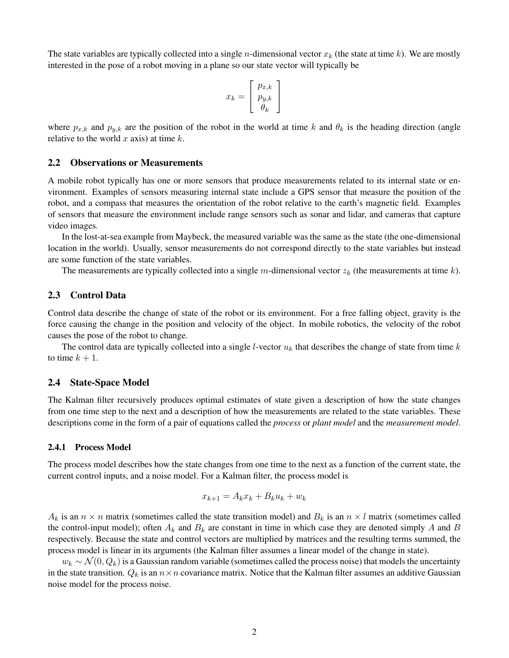The state variables are typically collected into a single *n*-dimensional vector  $x_k$  (the state at time k). We are mostly interested in the pose of a robot moving in a plane so our state vector will typically be

$$
x_k = \left[\begin{array}{c} p_{x,k} \\ p_{y,k} \\ \theta_k \end{array}\right]
$$

where  $p_{x,k}$  and  $p_{y,k}$  are the position of the robot in the world at time k and  $\theta_k$  is the heading direction (angle relative to the world  $x$  axis) at time  $k$ .

## 2.2 Observations or Measurements

A mobile robot typically has one or more sensors that produce measurements related to its internal state or environment. Examples of sensors measuring internal state include a GPS sensor that measure the position of the robot, and a compass that measures the orientation of the robot relative to the earth's magnetic field. Examples of sensors that measure the environment include range sensors such as sonar and lidar, and cameras that capture video images.

In the lost-at-sea example from Maybeck, the measured variable was the same as the state (the one-dimensional location in the world). Usually, sensor measurements do not correspond directly to the state variables but instead are some function of the state variables.

The measurements are typically collected into a single m-dimensional vector  $z_k$  (the measurements at time k).

### 2.3 Control Data

Control data describe the change of state of the robot or its environment. For a free falling object, gravity is the force causing the change in the position and velocity of the object. In mobile robotics, the velocity of the robot causes the pose of the robot to change.

The control data are typically collected into a single *l*-vector  $u_k$  that describes the change of state from time  $k$ to time  $k + 1$ .

#### 2.4 State-Space Model

The Kalman filter recursively produces optimal estimates of state given a description of how the state changes from one time step to the next and a description of how the measurements are related to the state variables. These descriptions come in the form of a pair of equations called the *process* or *plant model* and the *measurement model*.

#### 2.4.1 Process Model

The process model describes how the state changes from one time to the next as a function of the current state, the current control inputs, and a noise model. For a Kalman filter, the process model is

$$
x_{k+1} = A_k x_k + B_k u_k + w_k
$$

 $A_k$  is an  $n \times n$  matrix (sometimes called the state transition model) and  $B_k$  is an  $n \times l$  matrix (sometimes called the control-input model); often  $A_k$  and  $B_k$  are constant in time in which case they are denoted simply A and B respectively. Because the state and control vectors are multiplied by matrices and the resulting terms summed, the process model is linear in its arguments (the Kalman filter assumes a linear model of the change in state).

 $w_k \sim \mathcal{N}(0, Q_k)$  is a Gaussian random variable (sometimes called the process noise) that models the uncertainty in the state transition.  $Q_k$  is an  $n \times n$  covariance matrix. Notice that the Kalman filter assumes an additive Gaussian noise model for the process noise.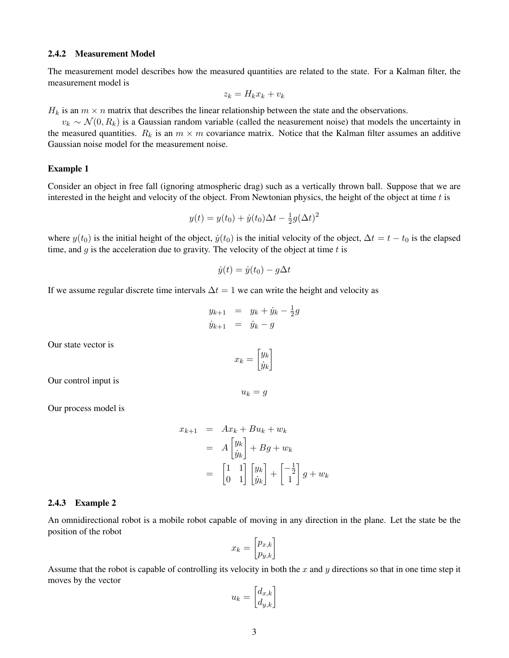#### 2.4.2 Measurement Model

The measurement model describes how the measured quantities are related to the state. For a Kalman filter, the measurement model is

$$
z_k = H_k x_k + v_k
$$

 $H_k$  is an  $m \times n$  matrix that describes the linear relationship between the state and the observations.

 $v_k \sim \mathcal{N}(0, R_k)$  is a Gaussian random variable (called the neasurement noise) that models the uncertainty in the measured quantities.  $R_k$  is an  $m \times m$  covariance matrix. Notice that the Kalman filter assumes an additive Gaussian noise model for the measurement noise.

#### Example 1

Consider an object in free fall (ignoring atmospheric drag) such as a vertically thrown ball. Suppose that we are interested in the height and velocity of the object. From Newtonian physics, the height of the object at time  $t$  is

$$
y(t) = y(t_0) + \dot{y}(t_0)\Delta t - \frac{1}{2}g(\Delta t)^2
$$

where  $y(t_0)$  is the initial height of the object,  $\dot{y}(t_0)$  is the initial velocity of the object,  $\Delta t = t - t_0$  is the elapsed time, and  $g$  is the acceleration due to gravity. The velocity of the object at time  $t$  is

$$
\dot{y}(t) = \dot{y}(t_0) - g\Delta t
$$

If we assume regular discrete time intervals  $\Delta t = 1$  we can write the height and velocity as

$$
y_{k+1} = y_k + \dot{y}_k - \frac{1}{2}g
$$
  

$$
\dot{y}_{k+1} = \dot{y}_k - g
$$

Our state vector is

$$
x_k = \begin{bmatrix} y_k \\ \dot{y}_k \end{bmatrix}
$$

 $u_k = g$ 

Our control input is

Our process model is

$$
x_{k+1} = Ax_k + Bu_k + w_k
$$
  
=  $A \begin{bmatrix} y_k \\ y_k \end{bmatrix} + Bg + w_k$   
=  $\begin{bmatrix} 1 & 1 \\ 0 & 1 \end{bmatrix} \begin{bmatrix} y_k \\ y_k \end{bmatrix} + \begin{bmatrix} -\frac{1}{2} \\ 1 \end{bmatrix} g + w_k$ 

#### 2.4.3 Example 2

An omnidirectional robot is a mobile robot capable of moving in any direction in the plane. Let the state be the position of the robot

$$
x_k = \begin{bmatrix} p_{x,k} \\ p_{y,k} \end{bmatrix}
$$

Assume that the robot is capable of controlling its velocity in both the  $x$  and  $y$  directions so that in one time step it moves by the vector

$$
u_k = \begin{bmatrix} d_{x,k} \\ d_{y,k} \end{bmatrix}
$$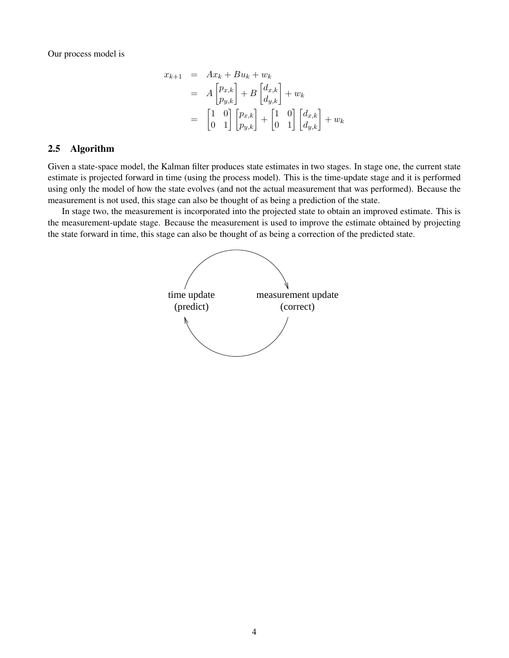Our process model is

$$
x_{k+1} = Ax_k + Bu_k + w_k
$$
  
=  $A \begin{bmatrix} p_{x,k} \\ p_{y,k} \end{bmatrix} + B \begin{bmatrix} d_{x,k} \\ d_{y,k} \end{bmatrix} + w_k$   
=  $\begin{bmatrix} 1 & 0 \\ 0 & 1 \end{bmatrix} \begin{bmatrix} p_{x,k} \\ p_{y,k} \end{bmatrix} + \begin{bmatrix} 1 & 0 \\ 0 & 1 \end{bmatrix} \begin{bmatrix} d_{x,k} \\ d_{y,k} \end{bmatrix} + w_k$ 

# 2.5 Algorithm

Given a state-space model, the Kalman filter produces state estimates in two stages. In stage one, the current state estimate is projected forward in time (using the process model). This is the time-update stage and it is performed using only the model of how the state evolves (and not the actual measurement that was performed). Because the measurement is not used, this stage can also be thought of as being a prediction of the state.

In stage two, the measurement is incorporated into the projected state to obtain an improved estimate. This is the measurement-update stage. Because the measurement is used to improve the estimate obtained by projecting the state forward in time, this stage can also be thought of as being a correction of the predicted state.

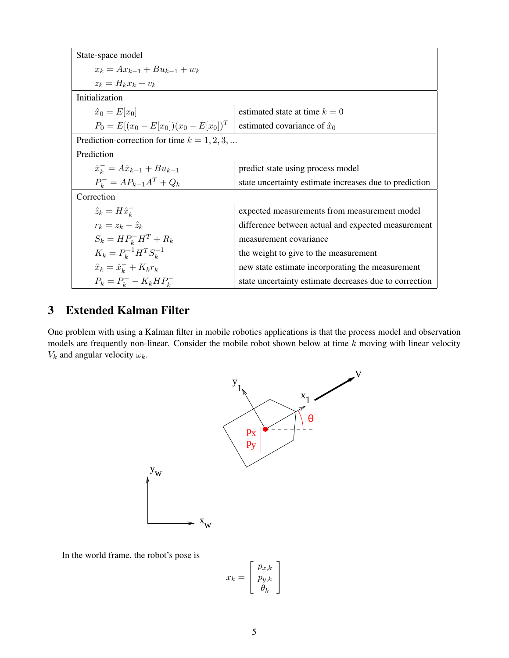| State-space model                              |                                                        |
|------------------------------------------------|--------------------------------------------------------|
| $x_k = Ax_{k-1} + Bu_{k-1} + w_k$              |                                                        |
| $z_k = H_k x_k + v_k$                          |                                                        |
| Initialization                                 |                                                        |
| $\hat{x}_0 = E[x_0]$                           | estimated state at time $k = 0$                        |
| $P_0 = E[(x_0 - E[x_0])(x_0 - E[x_0])^T]$      | estimated covariance of $\hat{x}_0$                    |
| Prediction-correction for time $k = 1, 2, 3, $ |                                                        |
| Prediction                                     |                                                        |
| $\hat{x}_{k}^{-} = A\hat{x}_{k-1} + Bu_{k-1}$  | predict state using process model                      |
| $P_{k}^{-} = AP_{k-1}A^{T} + Q_{k}$            | state uncertainty estimate increases due to prediction |
| Correction                                     |                                                        |
| $\hat{z}_k = H \hat{x}_k^-$                    | expected measurements from measurement model           |
| $r_k = z_k - \hat{z}_k$                        | difference between actual and expected measurement     |
| $S_k = HP_k^-H^T + R_k$                        | measurement covariance                                 |
| $K_k = P_k^{-1} H^T S_k^{-1}$                  | the weight to give to the measurement                  |
| $\hat{x}_k = \hat{x}_k^- + K_k r_k$            | new state estimate incorporating the measurement       |
| $P_k = P_k^- - K_k H P_k^-$                    | state uncertainty estimate decreases due to correction |

# 3 Extended Kalman Filter

One problem with using a Kalman filter in mobile robotics applications is that the process model and observation models are frequently non-linear. Consider the mobile robot shown below at time  $k$  moving with linear velocity  $V_k$  and angular velocity  $\omega_k$ .



In the world frame, the robot's pose is

$$
x_k = \left[\begin{array}{c} p_{x,k} \\ p_{y,k} \\ \theta_k \end{array}\right]
$$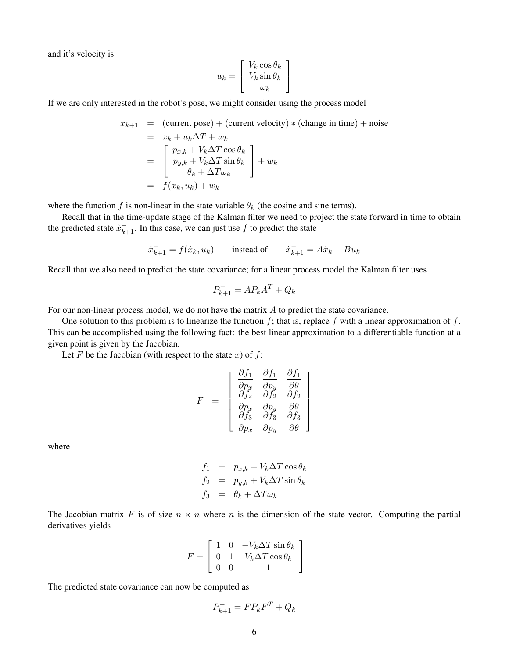and it's velocity is

$$
u_k = \begin{bmatrix} V_k \cos \theta_k \\ V_k \sin \theta_k \\ \omega_k \end{bmatrix}
$$

If we are only interested in the robot's pose, we might consider using the process model

$$
x_{k+1} = (\text{current pose}) + (\text{current velocity}) * (\text{change in time}) + \text{noise}
$$
  
=  $x_k + u_k \Delta T + w_k$   
= 
$$
\begin{bmatrix} p_{x,k} + V_k \Delta T \cos \theta_k \\ p_{y,k} + V_k \Delta T \sin \theta_k \\ \theta_k + \Delta T \omega_k \end{bmatrix} + w_k
$$
  
= 
$$
f(x_k, u_k) + w_k
$$

where the function f is non-linear in the state variable  $\theta_k$  (the cosine and sine terms).

Recall that in the time-update stage of the Kalman filter we need to project the state forward in time to obtain the predicted state  $\hat{x}_{k+1}^-$ . In this case, we can just use f to predict the state

$$
\hat{x}_{k+1}^- = f(\hat{x}_k, u_k) \qquad \text{instead of} \qquad \hat{x}_{k+1}^- = A\hat{x}_k + Bu_k
$$

Recall that we also need to predict the state covariance; for a linear process model the Kalman filter uses

$$
P_{k+1}^- = AP_kA^T + Q_k
$$

For our non-linear process model, we do not have the matrix A to predict the state covariance.

One solution to this problem is to linearize the function  $f$ ; that is, replace  $f$  with a linear approximation of  $f$ . This can be accomplished using the following fact: the best linear approximation to a differentiable function at a given point is given by the Jacobian.

 $\hat{a}$ 

 $\theta$ <sub>1</sub>

Let F be the Jacobian (with respect to the state  $x$ ) of  $f$ :

$$
F = \begin{bmatrix} \frac{\partial f_1}{\partial p_x} & \frac{\partial f_1}{\partial p_y} & \frac{\partial f_1}{\partial \theta} \\ \frac{\partial f_2}{\partial p_x} & \frac{\partial f_2}{\partial p_y} & \frac{\partial f_2}{\partial \theta} \\ \frac{\partial f_3}{\partial p_x} & \frac{\partial f_3}{\partial p_y} & \frac{\partial f_3}{\partial \theta} \end{bmatrix}
$$

 $^{\circ}$   $^{\circ}$ 

where

$$
f_1 = p_{x,k} + V_k \Delta T \cos \theta_k
$$
  
\n
$$
f_2 = p_{y,k} + V_k \Delta T \sin \theta_k
$$
  
\n
$$
f_3 = \theta_k + \Delta T \omega_k
$$

The Jacobian matrix F is of size  $n \times n$  where n is the dimension of the state vector. Computing the partial derivatives yields

$$
F = \left[ \begin{array}{ccc} 1 & 0 & -V_k \Delta T \sin \theta_k \\ 0 & 1 & V_k \Delta T \cos \theta_k \\ 0 & 0 & 1 \end{array} \right]
$$

The predicted state covariance can now be computed as

$$
P_{k+1}^- = FP_k F^T + Q_k
$$